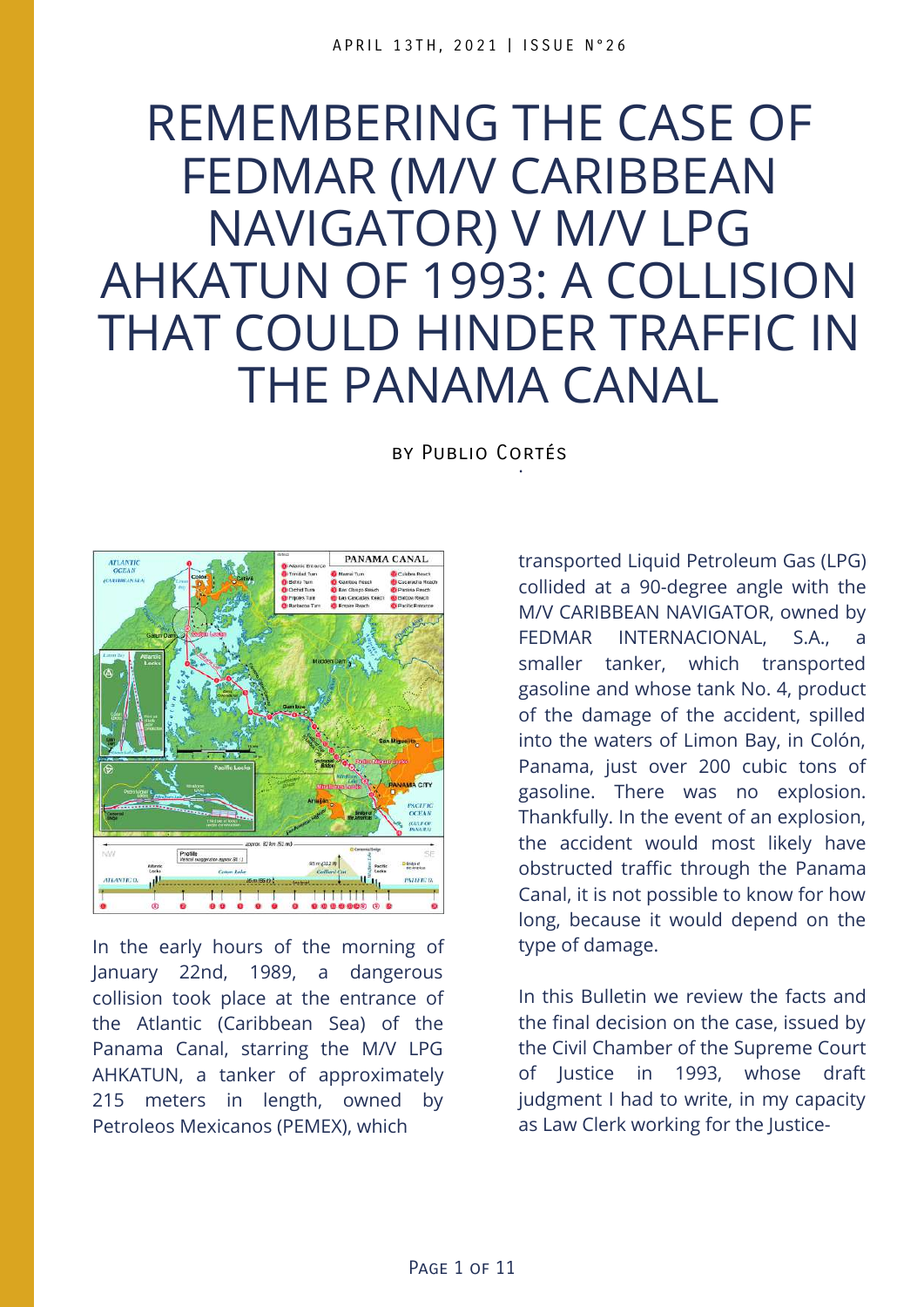# REMEMBERING THE CASE OF FEDMAR (M/V CARIBBEAN NAVIGATOR) V M/V LPG AHKATUN OF 1993: A COLLISION THAT COULD HINDER TRAFFIC IN THE PANAMA CANAL

. by Publio Cortés



In the early hours of the morning of January 22nd, 1989, a dangerous collision took place at the entrance of the Atlantic (Caribbean Sea) of the Panama Canal, starring the M/V LPG AHKATUN, a tanker of approximately 215 meters in length, owned by Petroleos Mexicanos (PEMEX), which

transported Liquid Petroleum Gas (LPG) collided at a 90-degree angle with the M/V CARIBBEAN NAVIGATOR, owned by FEDMAR INTERNACIONAL, S.A., a smaller tanker, which transported gasoline and whose tank No. 4, product of the damage of the accident, spilled into the waters of Limon Bay, in Colón, Panama, just over 200 cubic tons of gasoline. There was no explosion. Thankfully. In the event of an explosion, the accident would most likely have obstructed traffic through the Panama Canal, it is not possible to know for how long, because it would depend on the type of damage.

In this Bulletin we review the facts and the final decision on the case, issued by the Civil Chamber of the Supreme Court of Justice in 1993, whose draft judgment I had to write, in my capacity as Law Clerk working for the Justice-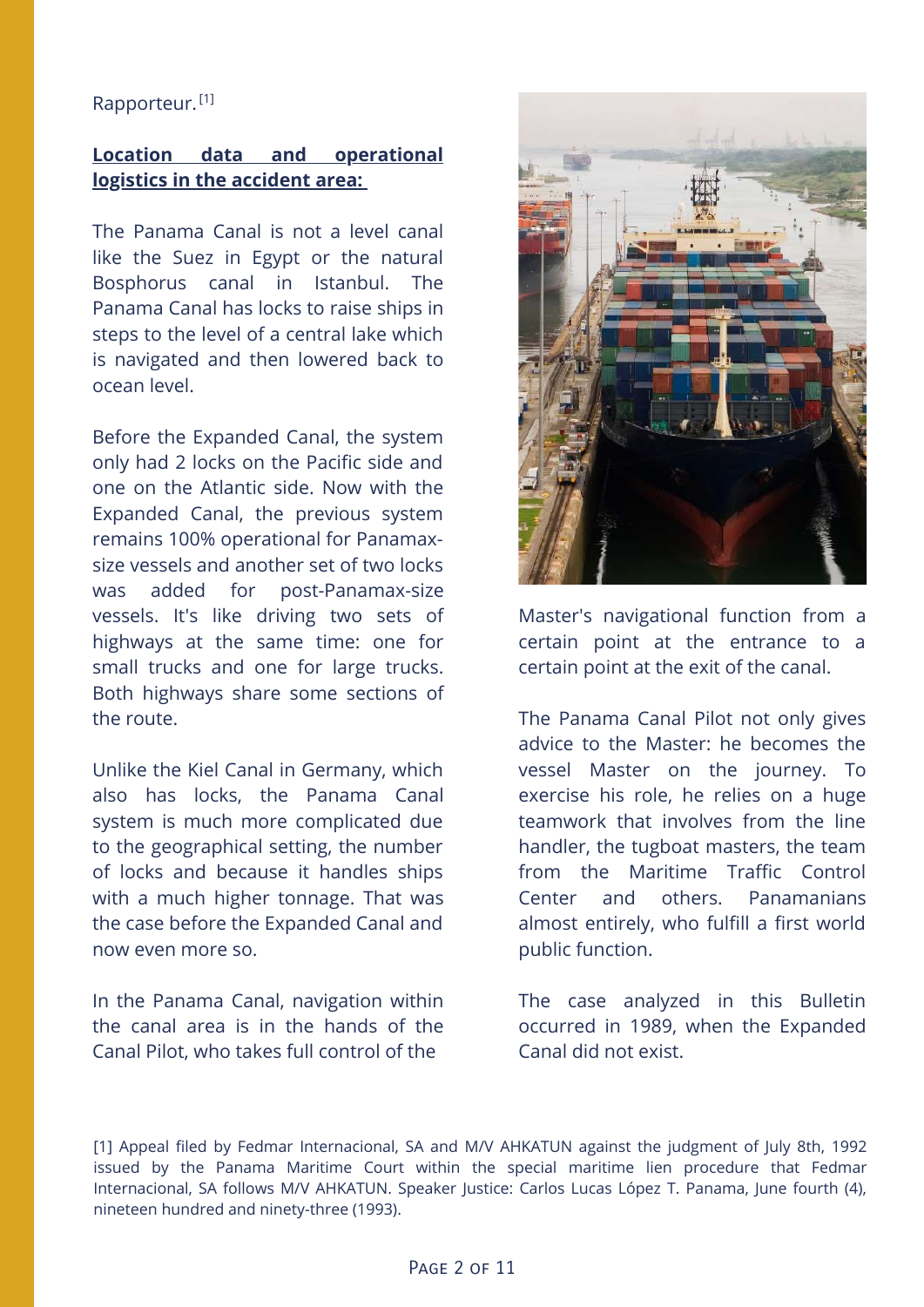## Rapporteur.<sup>[1]</sup>

## **Location data and operational logistics in the accident area:**

The Panama Canal is not a level canal like the Suez in Egypt or the natural Bosphorus canal in Istanbul. The Panama Canal has locks to raise ships in steps to the level of a central lake which is navigated and then lowered back to ocean level.

Before the Expanded Canal, the system only had 2 locks on the Pacific side and one on the Atlantic side. Now with the Expanded Canal, the previous system remains 100% operational for Panamaxsize vessels and another set of two locks was added for post-Panamax-size vessels. It's like driving two sets of highways at the same time: one for small trucks and one for large trucks. Both highways share some sections of the route.

Unlike the Kiel Canal in Germany, which also has locks, the Panama Canal system is much more complicated due to the geographical setting, the number of locks and because it handles ships with a much higher tonnage. That was the case before the Expanded Canal and now even more so.

In the Panama Canal, navigation within the canal area is in the hands of the Canal Pilot, who takes full control of the



Master's navigational function from a certain point at the entrance to a certain point at the exit of the canal.

The Panama Canal Pilot not only gives advice to the Master: he becomes the vessel Master on the journey. To exercise his role, he relies on a huge teamwork that involves from the line handler, the tugboat masters, the team from the Maritime Traffic Control Center and others. Panamanians almost entirely, who fulfill a first world public function.

The case analyzed in this Bulletin occurred in 1989, when the Expanded Canal did not exist.

<sup>[1]</sup> Appeal filed by Fedmar Internacional, SA and M/V AHKATUN against the judgment of July 8th, 1992 issued by the Panama Maritime Court within the special maritime lien procedure that Fedmar Internacional, SA follows M/V AHKATUN. Speaker Justice: Carlos Lucas López T. Panama, June fourth (4), nineteen hundred and ninety-three (1993).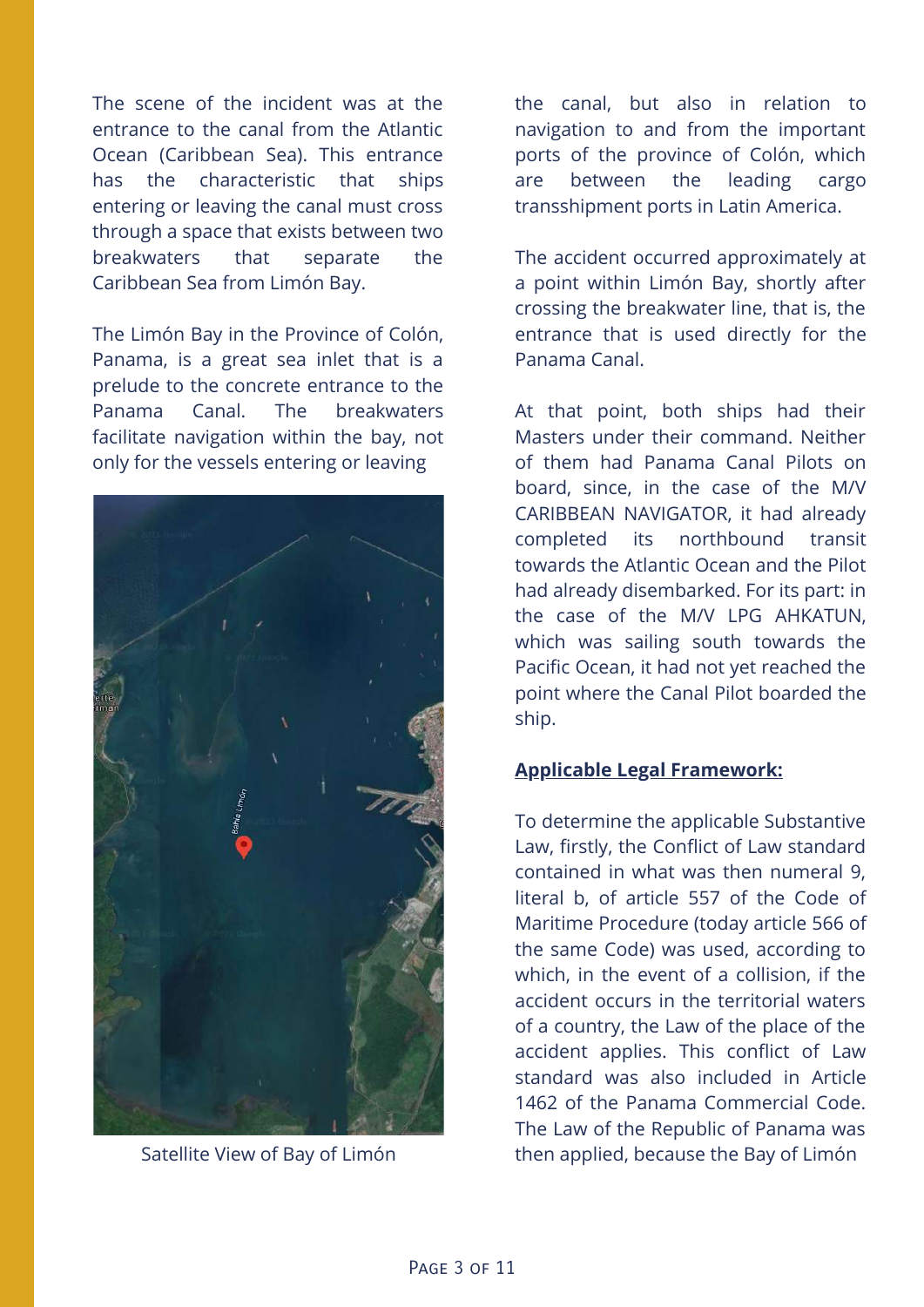The scene of the incident was at the entrance to the canal from the Atlantic Ocean (Caribbean Sea). This entrance has the characteristic that ships entering or leaving the canal must cross through a space that exists between two breakwaters that separate the Caribbean Sea from Limón Bay.

The Limón Bay in the Province of Colón, Panama, is a great sea inlet that is a prelude to the concrete entrance to the Panama Canal. The breakwaters facilitate navigation within the bay, not only for the vessels entering or leaving



Satellite View of Bay of Limón

the canal, but also in relation to navigation to and from the important ports of the province of Colón, which are between the leading cargo transshipment ports in Latin America.

The accident occurred approximately at a point within Limón Bay, shortly after crossing the breakwater line, that is, the entrance that is used directly for the Panama Canal.

At that point, both ships had their Masters under their command. Neither of them had Panama Canal Pilots on board, since, in the case of the M/V CARIBBEAN NAVIGATOR, it had already completed its northbound transit towards the Atlantic Ocean and the Pilot had already disembarked. For its part: in the case of the M/V LPG AHKATUN, which was sailing south towards the Pacific Ocean, it had not yet reached the point where the Canal Pilot boarded the ship.

## **Applicable Legal Framework:**

To determine the applicable Substantive Law, firstly, the Conflict of Law standard contained in what was then numeral 9, literal b, of article 557 of the Code of Maritime Procedure (today article 566 of the same Code) was used, according to which, in the event of a collision, if the accident occurs in the territorial waters of a country, the Law of the place of the accident applies. This conflict of Law standard was also included in Article 1462 of the Panama Commercial Code. The Law of the Republic of Panama was then applied, because the Bay of Limón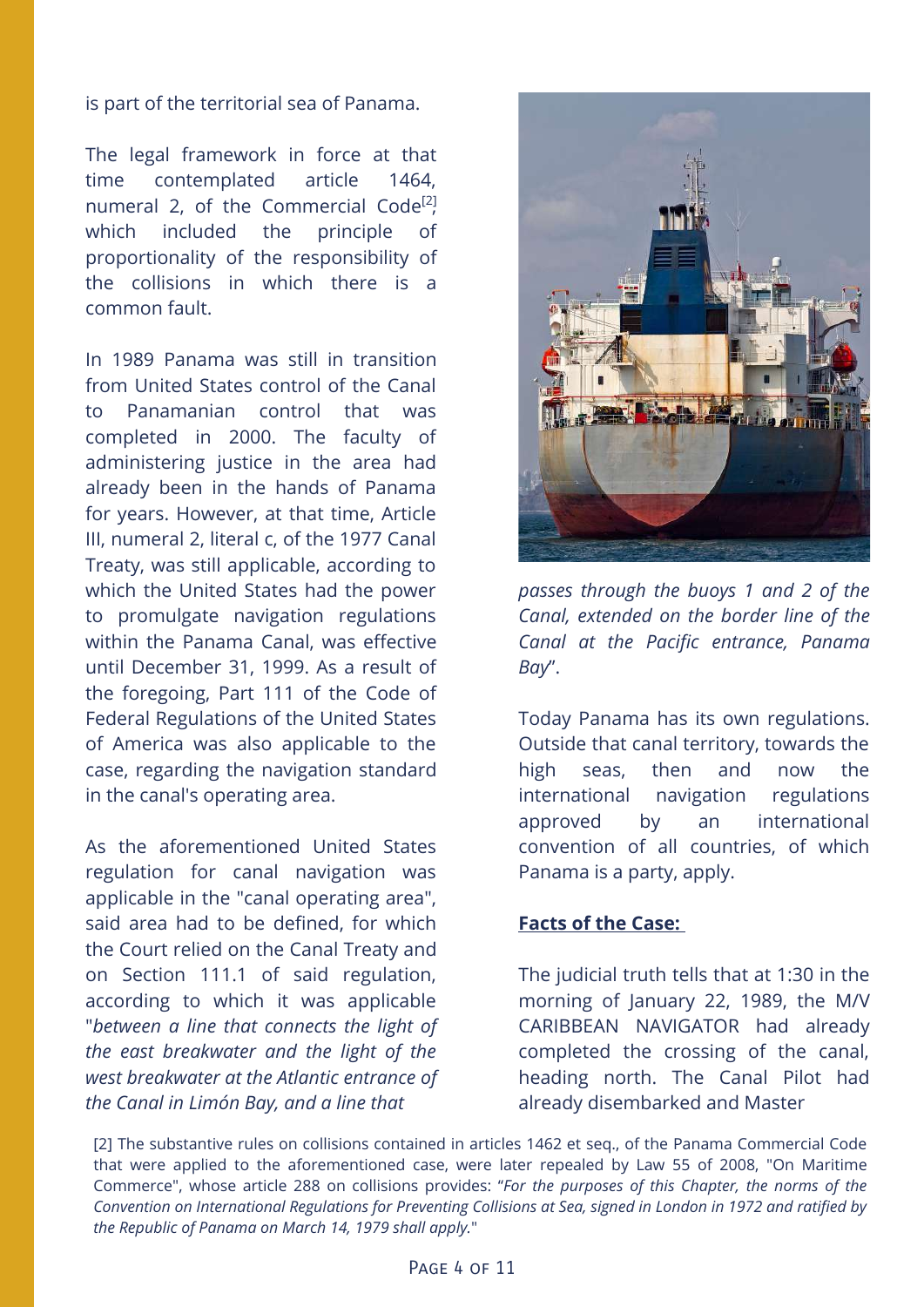is part of the territorial sea of Panama.

The legal framework in force at that time contemplated article 1464, numeral 2, of the Commercial Code<sup>[2]</sup>, which included the principle of proportionality of the responsibility of the collisions in which there is a common fault.

In 1989 Panama was still in transition from United States control of the Canal to Panamanian control that was completed in 2000. The faculty of administering justice in the area had already been in the hands of Panama for years. However, at that time, Article III, numeral 2, literal c, of the 1977 Canal Treaty, was still applicable, according to which the United States had the power to promulgate navigation regulations within the Panama Canal, was effective until December 31, 1999. As a result of the foregoing, Part 111 of the Code of Federal Regulations of the United States of America was also applicable to the case, regarding the navigation standard in the canal's operating area.

As the aforementioned United States regulation for canal navigation was applicable in the "canal operating area", said area had to be defined, for which the Court relied on the Canal Treaty and on Section 111.1 of said regulation, according to which it was applicable "*between a line that connects the light of the east breakwater and the light of the west breakwater at the Atlantic entrance of the Canal in Limón Bay, and a line that*



*passes through the buoys 1 and 2 of the Canal, extended on the border line of the Canal at the Pacific entrance, Panama Bay*".

Today Panama has its own regulations. Outside that canal territory, towards the high seas, then and now the international navigation regulations approved by an international convention of all countries, of which Panama is a party, apply.

## **Facts of the Case:**

The judicial truth tells that at 1:30 in the morning of January 22, 1989, the M/V CARIBBEAN NAVIGATOR had already completed the crossing of the canal, heading north. The Canal Pilot had already disembarked and Master

[2] The substantive rules on collisions contained in articles 1462 et seq., of the Panama Commercial Code that were applied to the aforementioned case, were later repealed by Law 55 of 2008, "On Maritime Commerce", whose article 288 on collisions provides: "*For the purposes of this Chapter, the norms of the* Convention on International Regulations for Preventing Collisions at Sea, signed in London in 1972 and ratified by *the Republic of Panama on March 14, 1979 shall apply.*"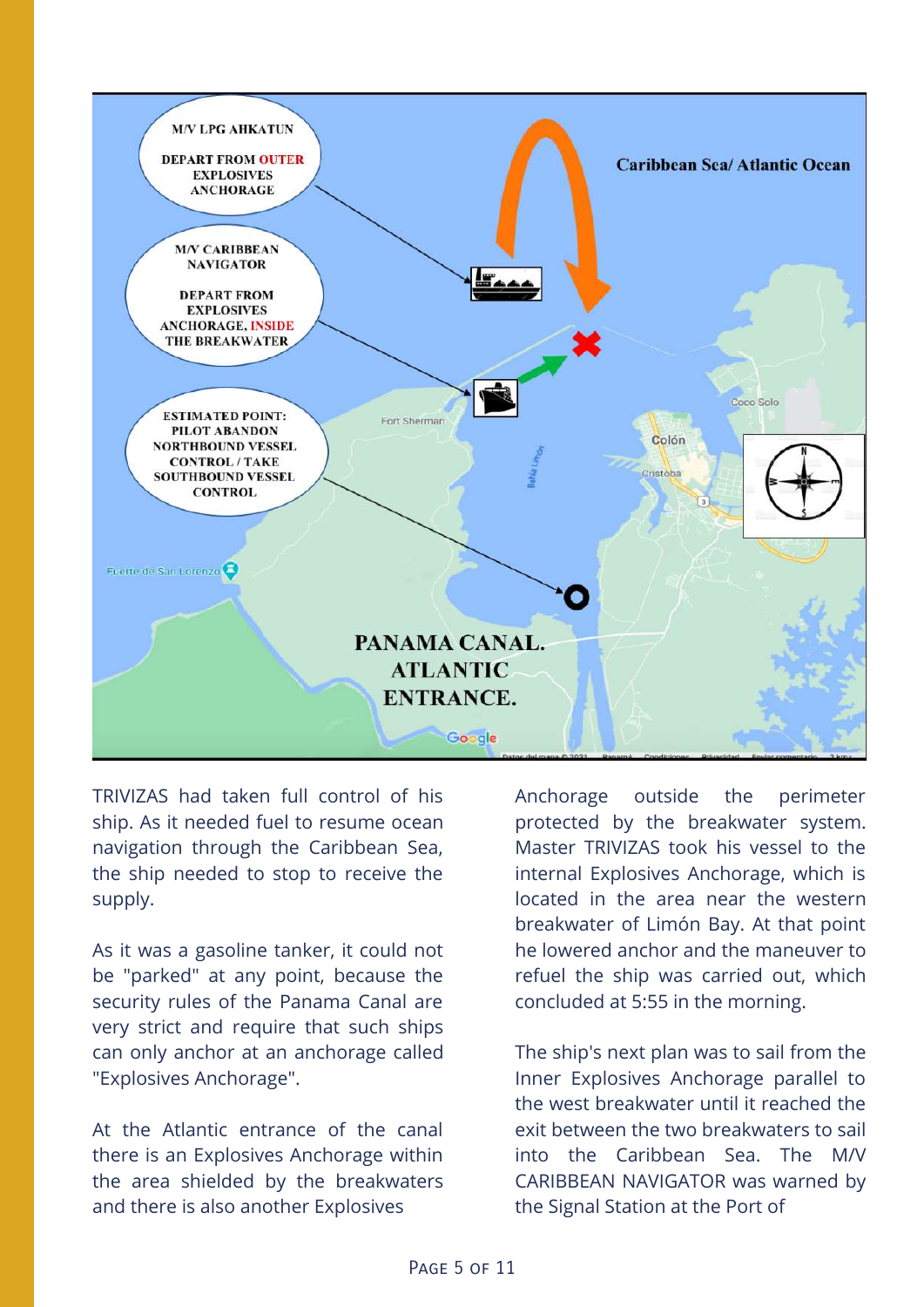

TRIVIZAS had taken full control of his ship. As it needed fuel to resume ocean navigation through the Caribbean Sea, the ship needed to stop to receive the supply.

As it was a gasoline tanker, it could not be "parked" at any point, because the security rules of the Panama Canal are very strict and require that such ships can only anchor at an anchorage called "Explosives Anchorage".

At the Atlantic entrance of the canal there is an Explosives Anchorage within the area shielded by the breakwaters and there is also another Explosives

Anchorage outside the perimeter protected by the breakwater system. Master TRIVIZAS took his vessel to the internal Explosives Anchorage, which is located in the area near the western breakwater of Limón Bay. At that point he lowered anchor and the maneuver to refuel the ship was carried out, which concluded at 5:55 in the morning.

The ship's next plan was to sail from the Inner Explosives Anchorage parallel to the west breakwater until it reached the exit between the two breakwaters to sail into the Caribbean Sea. The M/V CARIBBEAN NAVIGATOR was warned by the Signal Station at the Port of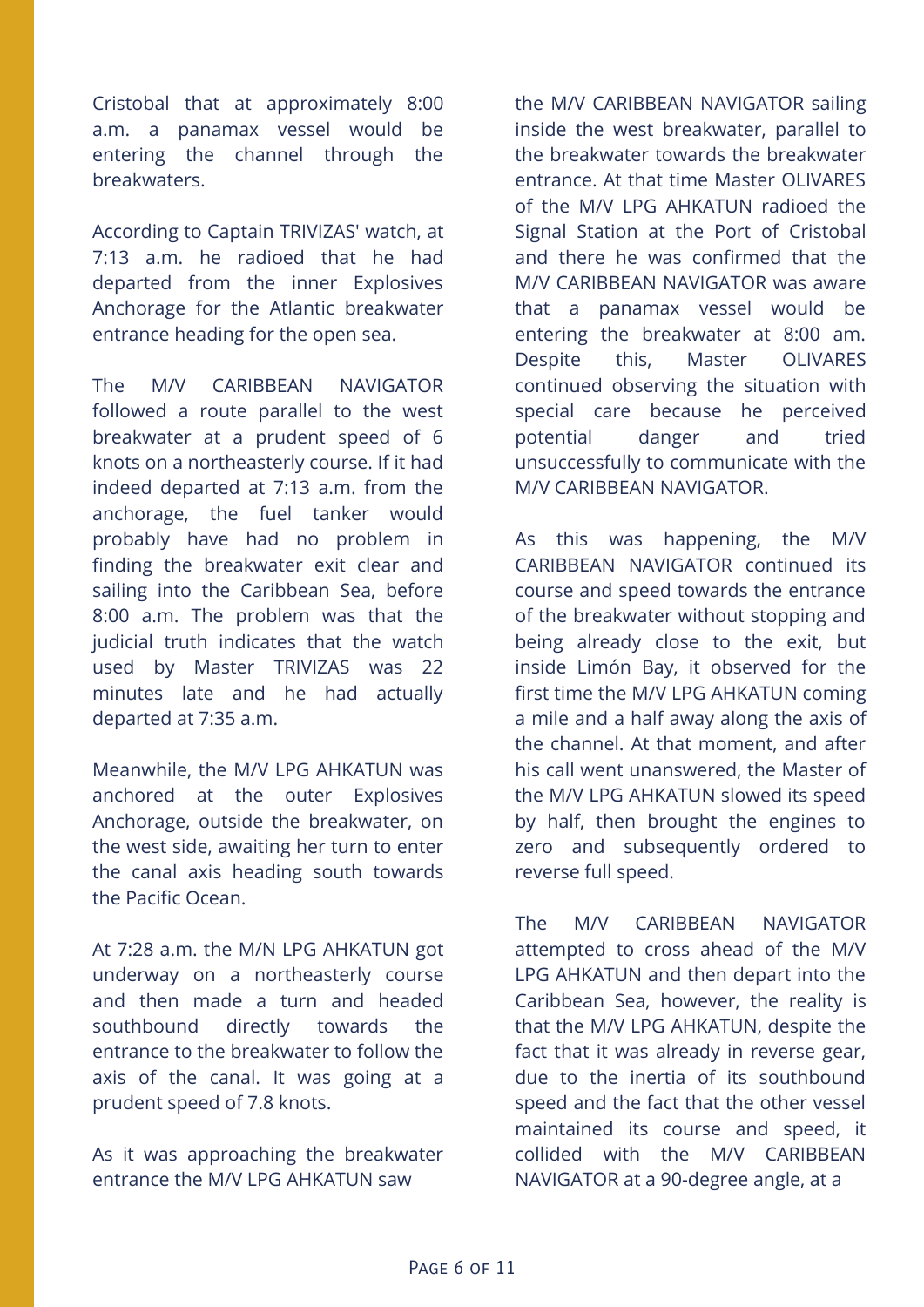Cristobal that at approximately 8:00 a.m. a panamax vessel would be entering the channel through the breakwaters.

According to Captain TRIVIZAS' watch, at 7:13 a.m. he radioed that he had departed from the inner Explosives Anchorage for the Atlantic breakwater entrance heading for the open sea.

The M/V CARIBBEAN NAVIGATOR followed a route parallel to the west breakwater at a prudent speed of 6 knots on a northeasterly course. If it had indeed departed at 7:13 a.m. from the anchorage, the fuel tanker would probably have had no problem in finding the breakwater exit clear and sailing into the Caribbean Sea, before 8:00 a.m. The problem was that the judicial truth indicates that the watch used by Master TRIVIZAS was 22 minutes late and he had actually departed at 7:35 a.m.

Meanwhile, the M/V LPG AHKATUN was anchored at the outer Explosives Anchorage, outside the breakwater, on the west side, awaiting her turn to enter the canal axis heading south towards the Pacific Ocean.

At 7:28 a.m. the M/N LPG AHKATUN got underway on a northeasterly course and then made a turn and headed southbound directly towards the entrance to the breakwater to follow the axis of the canal. It was going at a prudent speed of 7.8 knots.

As it was approaching the breakwater entrance the M/V LPG AHKATUN saw

the M/V CARIBBEAN NAVIGATOR sailing inside the west breakwater, parallel to the breakwater towards the breakwater entrance. At that time Master OLIVARES of the M/V LPG AHKATUN radioed the Signal Station at the Port of Cristobal and there he was confirmed that the M/V CARIBBEAN NAVIGATOR was aware that a panamax vessel would be entering the breakwater at 8:00 am. Despite this, Master OLIVARES continued observing the situation with special care because he perceived potential danger and tried unsuccessfully to communicate with the M/V CARIBBEAN NAVIGATOR.

As this was happening, the M/V CARIBBEAN NAVIGATOR continued its course and speed towards the entrance of the breakwater without stopping and being already close to the exit, but inside Limón Bay, it observed for the first time the M/V LPG AHKATUN coming a mile and a half away along the axis of the channel. At that moment, and after his call went unanswered, the Master of the M/V LPG AHKATUN slowed its speed by half, then brought the engines to zero and subsequently ordered to reverse full speed.

The M/V CARIBBEAN NAVIGATOR attempted to cross ahead of the M/V LPG AHKATUN and then depart into the Caribbean Sea, however, the reality is that the M/V LPG AHKATUN, despite the fact that it was already in reverse gear, due to the inertia of its southbound speed and the fact that the other vessel maintained its course and speed, it collided with the M/V CARIBBEAN NAVIGATOR at a 90-degree angle, at a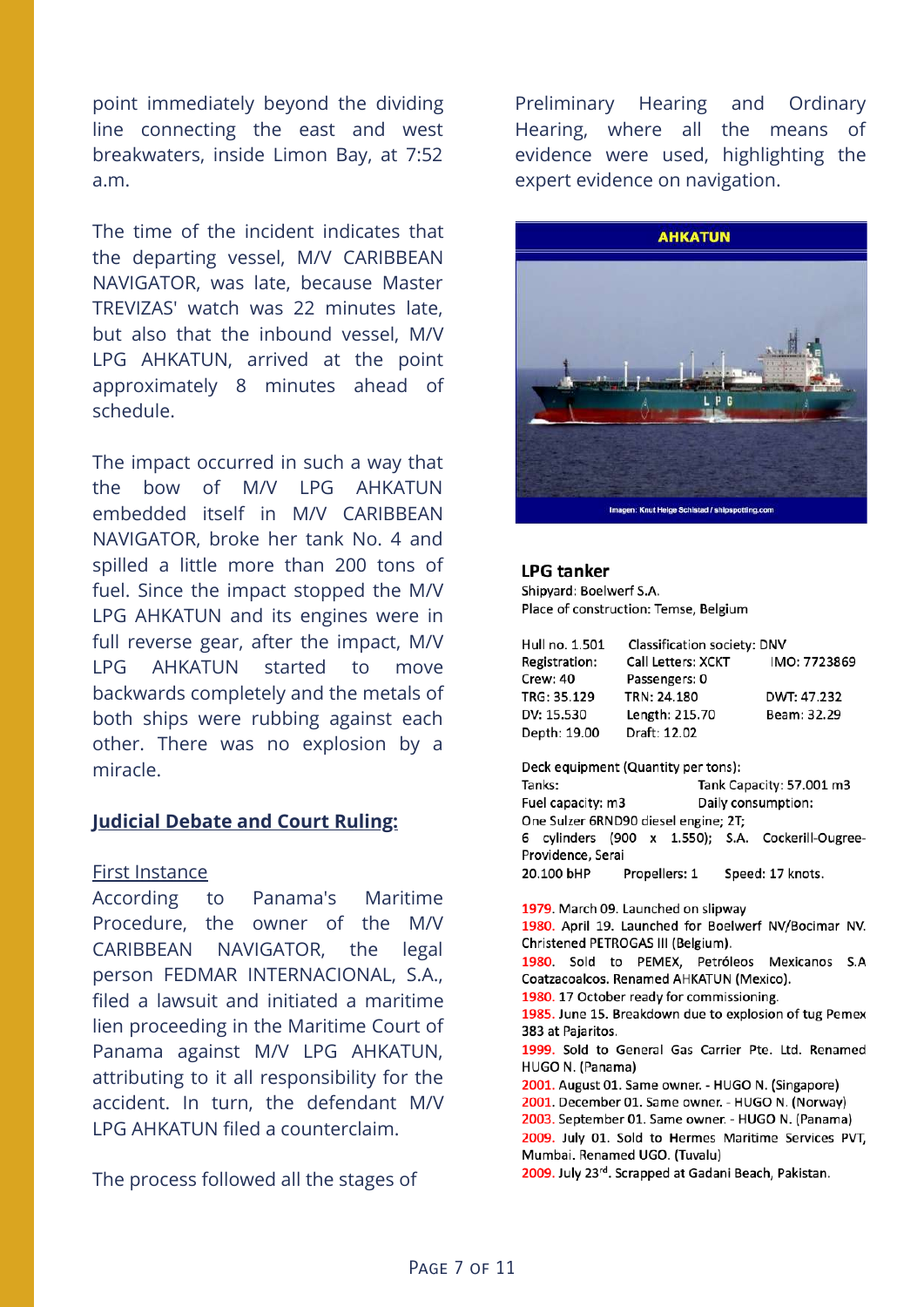point immediately beyond the dividing line connecting the east and west breakwaters, inside Limon Bay, at 7:52 a.m.

The time of the incident indicates that the departing vessel, M/V CARIBBEAN NAVIGATOR, was late, because Master TREVIZAS' watch was 22 minutes late, but also that the inbound vessel, M/V LPG AHKATUN, arrived at the point approximately 8 minutes ahead of schedule.

The impact occurred in such a way that the bow of M/V LPG AHKATUN embedded itself in M/V CARIBBEAN NAVIGATOR, broke her tank No. 4 and spilled a little more than 200 tons of fuel. Since the impact stopped the M/V LPG AHKATUN and its engines were in full reverse gear, after the impact, M/V LPG AHKATUN started to move backwards completely and the metals of both ships were rubbing against each other. There was no explosion by a miracle.

## **Judicial Debate and Court Ruling:**

#### First Instance

According to Panama's Maritime Procedure, the owner of the M/V CARIBBEAN NAVIGATOR, the legal person FEDMAR INTERNACIONAL, S.A., filed a lawsuit and initiated a maritime lien proceeding in the Maritime Court of Panama against M/V LPG AHKATUN, attributing to it all responsibility for the accident. In turn, the defendant M/V LPG AHKATUN filed a counterclaim.

The process followed all the stages of

Preliminary Hearing and Ordinary Hearing, where all the means of evidence were used, highlighting the expert evidence on navigation.



#### **LPG tanker**

Shipvard: Boelwerf S.A. Place of construction: Temse, Belgium

| Hull no. 1.501 | Classification society: DNV |              |
|----------------|-----------------------------|--------------|
| Registration:  | Call Letters: XCKT          | IMO: 7723869 |
| Crew: 40       | Passengers: 0               |              |
| TRG: 35.129    | TRN: 24.180                 | DWT: 47.232  |
| DV: 15.530     | Length: 215.70              | Beam: 32.29  |
| Depth: 19.00   | Draft: 12.02                |              |

Deck equipment (Quantity per tons): Tanks: Tank Capacity: 57.001 m3 Fuel capacity: m3 Daily consumption: One Sulzer 6RND90 diesel engine: 2T: 6 cylinders (900 x 1.550); S.A. Cockerill-Ougree-Providence, Serai 20.100 bHP Propellers: 1 Speed: 17 knots. 1979. March 09. Launched on slipway 1980. April 19. Launched for Boelwerf NV/Bocimar NV. Christened PETROGAS III (Belgium). 1980. Sold to PEMEX, Petróleos Mexicanos S.A Coatzacoalcos. Renamed AHKATUN (Mexico). 1980. 17 October ready for commissioning. 1985. June 15. Breakdown due to explosion of tug Pemex 383 at Pajaritos. 1999. Sold to General Gas Carrier Pte. Ltd. Renamed HUGO N. (Panama) 2001. August 01. Same owner. - HUGO N. (Singapore) 2001. December 01. Same owner. - HUGO N. (Norway) 2003. September 01. Same owner. - HUGO N. (Panama) 2009. July 01. Sold to Hermes Maritime Services PVT, Mumbai. Renamed UGO. (Tuvalu) 2009. July 23rd. Scrapped at Gadani Beach, Pakistan.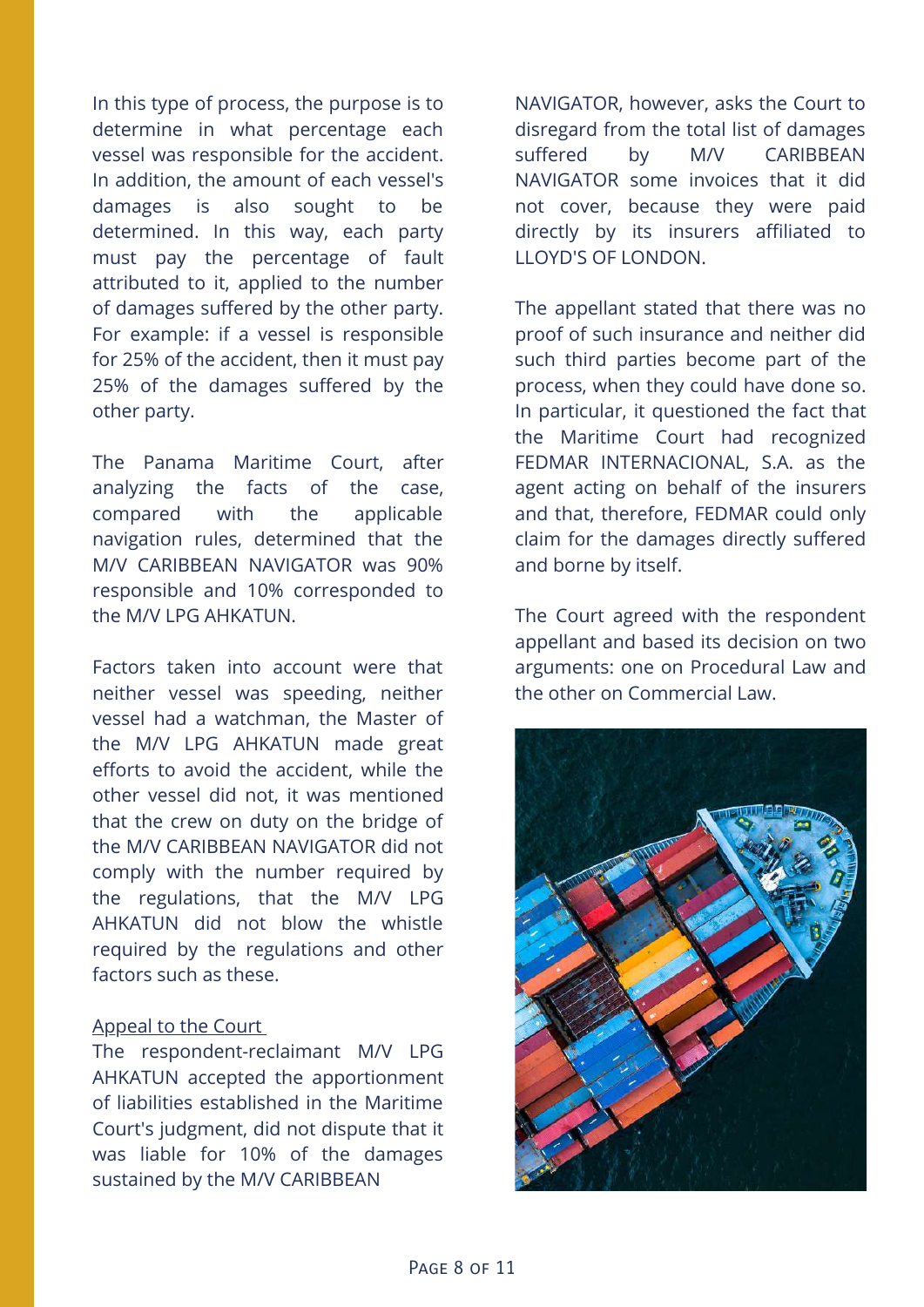In this type of process, the purpose is to determine in what percentage each vessel was responsible for the accident. In addition, the amount of each vessel's damages is also sought to be determined. In this way, each party must pay the percentage of fault attributed to it, applied to the number of damages suffered by the other party. For example: if a vessel is responsible for 25% of the accident, then it must pay 25% of the damages suffered by the other party.

The Panama Maritime Court, after analyzing the facts of the case, compared with the applicable navigation rules, determined that the M/V CARIBBEAN NAVIGATOR was 90% responsible and 10% corresponded to the M/V LPG AHKATUN.

Factors taken into account were that neither vessel was speeding, neither vessel had a watchman, the Master of the M/V LPG AHKATUN made great efforts to avoid the accident, while the other vessel did not, it was mentioned that the crew on duty on the bridge of the M/V CARIBBEAN NAVIGATOR did not comply with the number required by the regulations, that the M/V LPG AHKATUN did not blow the whistle required by the regulations and other factors such as these.

## Appeal to the Court

The respondent-reclaimant M/V LPG AHKATUN accepted the apportionment of liabilities established in the Maritime Court's judgment, did not dispute that it was liable for 10% of the damages sustained by the M/V CARIBBEAN

NAVIGATOR, however, asks the Court to disregard from the total list of damages suffered by M/V CARIBBEAN NAVIGATOR some invoices that it did not cover, because they were paid directly by its insurers affiliated to LLOYD'S OF LONDON.

The appellant stated that there was no proof of such insurance and neither did such third parties become part of the process, when they could have done so. In particular, it questioned the fact that the Maritime Court had recognized FEDMAR INTERNACIONAL, S.A. as the agent acting on behalf of the insurers and that, therefore, FEDMAR could only claim for the damages directly suffered and borne by itself.

The Court agreed with the respondent appellant and based its decision on two arguments: one on Procedural Law and the other on Commercial Law.

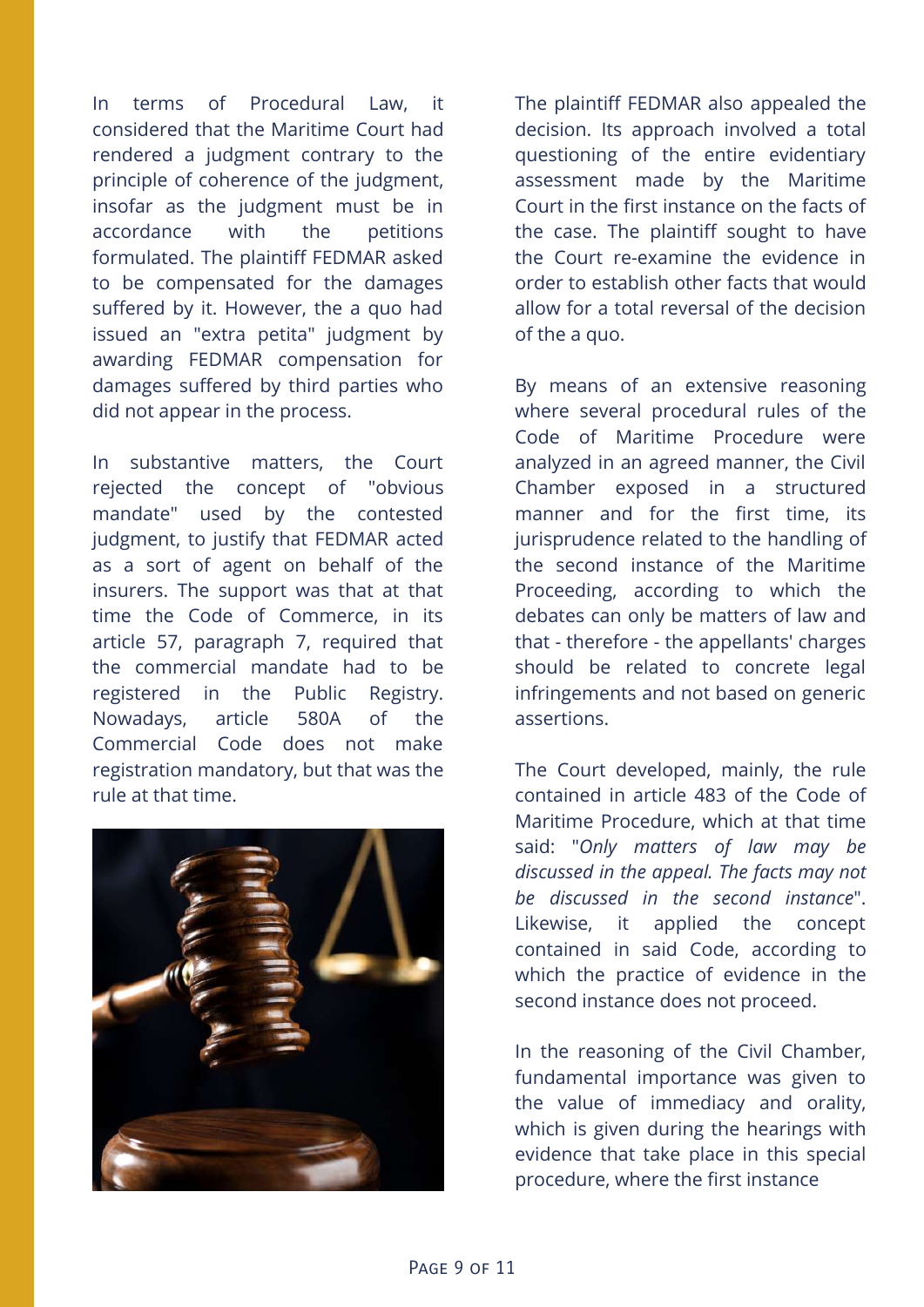In terms of Procedural Law, it considered that the Maritime Court had rendered a judgment contrary to the principle of coherence of the judgment, insofar as the judgment must be in accordance with the petitions formulated. The plaintiff FEDMAR asked to be compensated for the damages suffered by it. However, the a quo had issued an "extra petita" judgment by awarding FEDMAR compensation for damages suffered by third parties who did not appear in the process.

In substantive matters, the Court rejected the concept of "obvious mandate" used by the contested judgment, to justify that FEDMAR acted as a sort of agent on behalf of the insurers. The support was that at that time the Code of Commerce, in its article 57, paragraph 7, required that the commercial mandate had to be registered in the Public Registry. Nowadays, article 580A of the Commercial Code does not make registration mandatory, but that was the rule at that time.



The plaintiff FEDMAR also appealed the decision. Its approach involved a total questioning of the entire evidentiary assessment made by the Maritime Court in the first instance on the facts of the case. The plaintiff sought to have the Court re-examine the evidence in order to establish other facts that would allow for a total reversal of the decision of the a quo.

By means of an extensive reasoning where several procedural rules of the Code of Maritime Procedure were analyzed in an agreed manner, the Civil Chamber exposed in a structured manner and for the first time, its jurisprudence related to the handling of the second instance of the Maritime Proceeding, according to which the debates can only be matters of law and that - therefore - the appellants' charges should be related to concrete legal infringements and not based on generic assertions.

The Court developed, mainly, the rule contained in article 483 of the Code of Maritime Procedure, which at that time said: "*Only matters of law may be discussed in the appeal. The facts may not be discussed in the second instance*". Likewise, it applied the concept contained in said Code, according to which the practice of evidence in the second instance does not proceed.

In the reasoning of the Civil Chamber, fundamental importance was given to the value of immediacy and orality, which is given during the hearings with evidence that take place in this special procedure, where the first instance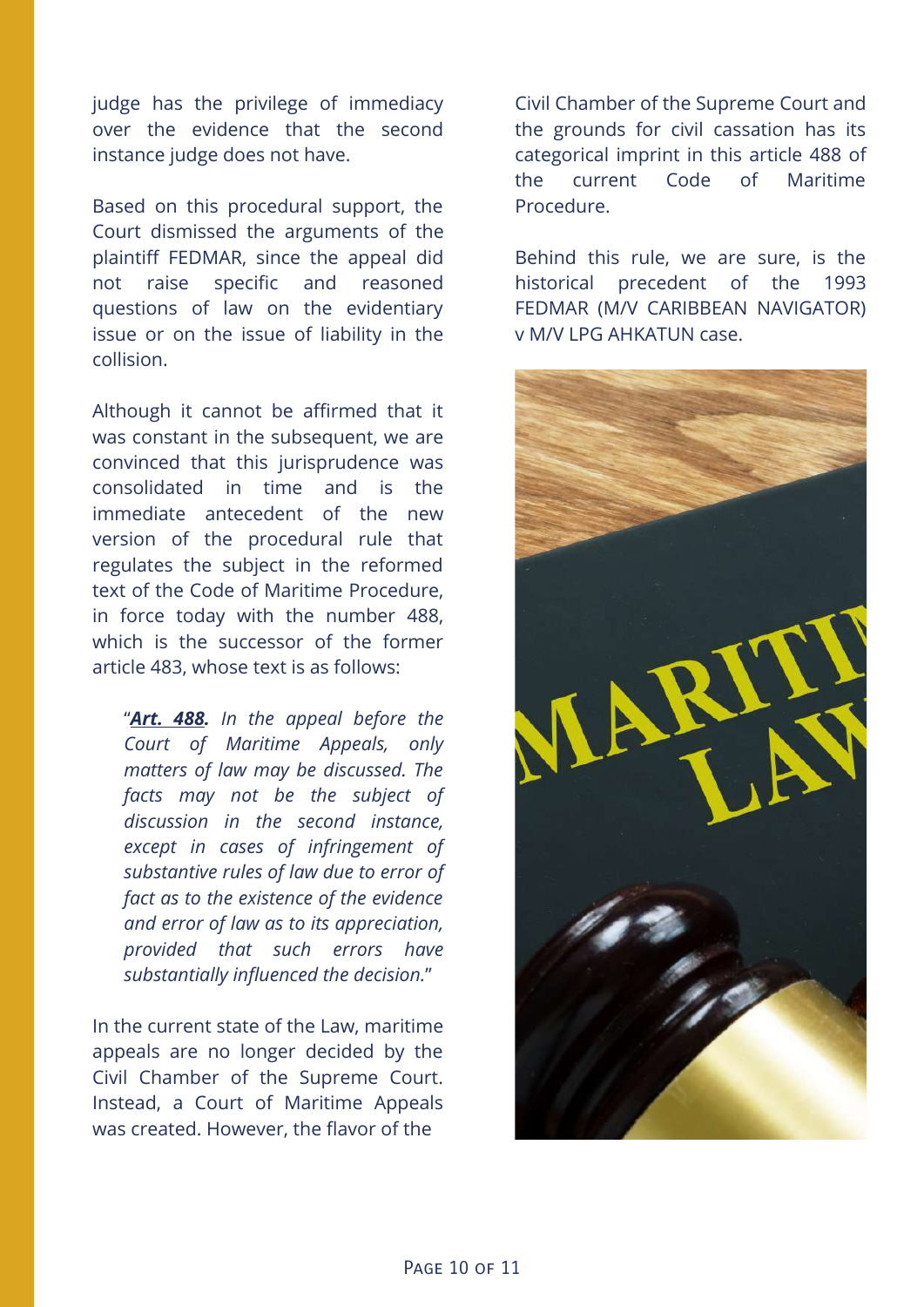judge has the privilege of immediacy over the evidence that the second instance judge does not have.

Based on this procedural support, the Court dismissed the arguments of the plaintiff FEDMAR, since the appeal did not raise specific and reasoned questions of law on the evidentiary issue or on the issue of liability in the collision.

Although it cannot be affirmed that it was constant in the subsequent, we are convinced that this jurisprudence was consolidated in time and is the immediate antecedent of the new version of the procedural rule that regulates the subject in the reformed text of the Code of Maritime Procedure, in force today with the number 488, which is the successor of the former article 483, whose text is as follows:

"*Art. 488. In the appeal before the Court of Maritime Appeals, only matters of law may be discussed. The facts may not be the subject of discussion in the second instance, except in cases of infringement of substantive rules of law due to error of fact as to the existence of the evidence and error of law as to its appreciation, provided that such errors have substantially influenced the decision.*"

In the current state of the Law, maritime appeals are no longer decided by the Civil Chamber of the Supreme Court. Instead, a Court of Maritime Appeals was created. However, the flavor of the

Civil Chamber of the Supreme Court and the grounds for civil cassation has its categorical imprint in this article 488 of the current Code of Maritime **Procedure** 

Behind this rule, we are sure, is the historical precedent of the 1993 FEDMAR (M/V CARIBBEAN NAVIGATOR) v M/V LPG AHKATUN case.